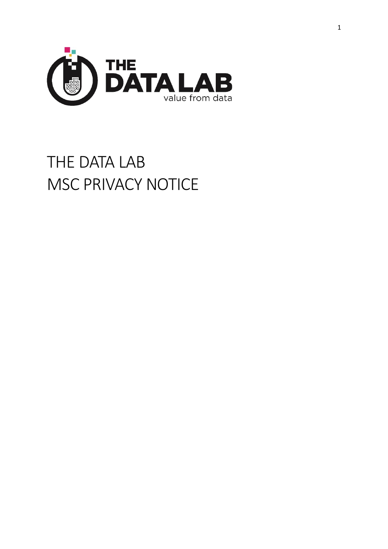

# THE DATA LAB MSC PRIVACY NOTICE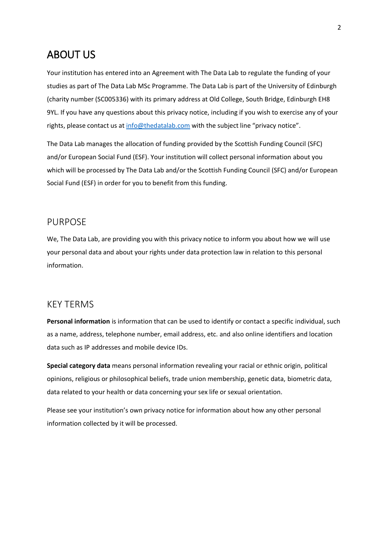## ABOUT US

Your institution has entered into an Agreement with The Data Lab to regulate the funding of your studies as part of The Data Lab MSc Programme. The Data Lab is part of the University of Edinburgh (charity number (SC005336) with its primary address at Old College, South Bridge, Edinburgh EH8 9YL. If you have any questions about this privacy notice, including if you wish to exercise any of your rights, please contact us at [info@thedatalab.com](mailto:info@thedatalab.com) with the subject line "privacy notice".

The Data Lab manages the allocation of funding provided by the Scottish Funding Council (SFC) and/or European Social Fund (ESF). Your institution will collect personal information about you which will be processed by The Data Lab and/or the Scottish Funding Council (SFC) and/or European Social Fund (ESF) in order for you to benefit from this funding.

### PURPOSE

We, The Data Lab, are providing you with this privacy notice to inform you about how we will use your personal data and about your rights under data protection law in relation to this personal information.

### KEY TERMS

**Personal information** is information that can be used to identify or contact a specific individual, such as a name, address, telephone number, email address, etc. and also online identifiers and location data such as IP addresses and mobile device IDs.

**Special category data** means personal information revealing your racial or ethnic origin, political opinions, religious or philosophical beliefs, trade union membership, genetic data, biometric data, data related to your health or data concerning your sex life or sexual orientation.

Please see your institution's own privacy notice for information about how any other personal information collected by it will be processed.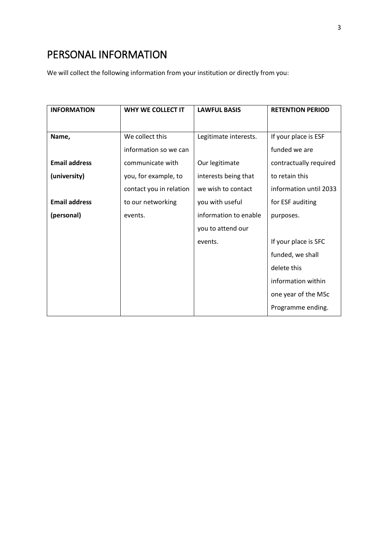# PERSONAL INFORMATION

We will collect the following information from your institution or directly from you:

| <b>INFORMATION</b>   | <b>WHY WE COLLECT IT</b> | <b>LAWFUL BASIS</b>   | <b>RETENTION PERIOD</b> |
|----------------------|--------------------------|-----------------------|-------------------------|
|                      |                          |                       |                         |
| Name,                | We collect this          | Legitimate interests. | If your place is ESF    |
|                      | information so we can    |                       | funded we are           |
| <b>Email address</b> | communicate with         | Our legitimate        | contractually required  |
| (university)         | you, for example, to     | interests being that  | to retain this          |
|                      | contact you in relation  | we wish to contact    | information until 2033  |
| <b>Email address</b> | to our networking        | you with useful       | for ESF auditing        |
| (personal)           | events.                  | information to enable | purposes.               |
|                      |                          | you to attend our     |                         |
|                      |                          | events.               | If your place is SFC    |
|                      |                          |                       | funded, we shall        |
|                      |                          |                       | delete this             |
|                      |                          |                       | information within      |
|                      |                          |                       | one year of the MSc     |
|                      |                          |                       | Programme ending.       |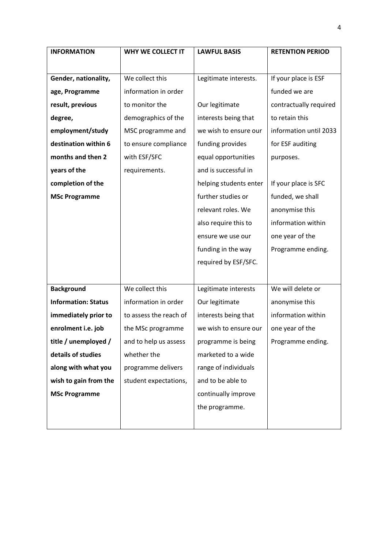| <b>INFORMATION</b>         | WHY WE COLLECT IT      | <b>LAWFUL BASIS</b>    | <b>RETENTION PERIOD</b> |
|----------------------------|------------------------|------------------------|-------------------------|
|                            |                        |                        |                         |
| Gender, nationality,       | We collect this        | Legitimate interests.  | If your place is ESF    |
| age, Programme             | information in order   |                        | funded we are           |
| result, previous           | to monitor the         | Our legitimate         | contractually required  |
| degree,                    | demographics of the    | interests being that   | to retain this          |
| employment/study           | MSC programme and      | we wish to ensure our  | information until 2033  |
| destination within 6       | to ensure compliance   | funding provides       | for ESF auditing        |
| months and then 2          | with ESF/SFC           | equal opportunities    | purposes.               |
| years of the               | requirements.          | and is successful in   |                         |
| completion of the          |                        | helping students enter | If your place is SFC    |
| <b>MSc Programme</b>       |                        | further studies or     | funded, we shall        |
|                            |                        | relevant roles. We     | anonymise this          |
|                            |                        | also require this to   | information within      |
|                            |                        | ensure we use our      | one year of the         |
|                            |                        | funding in the way     | Programme ending.       |
|                            |                        | required by ESF/SFC.   |                         |
|                            |                        |                        |                         |
| <b>Background</b>          | We collect this        | Legitimate interests   | We will delete or       |
| <b>Information: Status</b> | information in order   | Our legitimate         | anonymise this          |
| immediately prior to       | to assess the reach of | interests being that   | information within      |
| enrolment i.e. job         | the MSc programme      | we wish to ensure our  | one year of the         |
| title / unemployed /       | and to help us assess  | programme is being     | Programme ending.       |
| details of studies         | whether the            | marketed to a wide     |                         |
| along with what you        | programme delivers     | range of individuals   |                         |
| wish to gain from the      | student expectations,  | and to be able to      |                         |
| <b>MSc Programme</b>       |                        | continually improve    |                         |
|                            |                        | the programme.         |                         |
|                            |                        |                        |                         |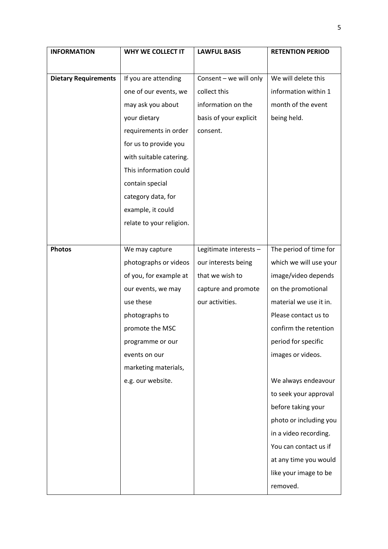| <b>INFORMATION</b>          | WHY WE COLLECT IT        | <b>LAWFUL BASIS</b>    | <b>RETENTION PERIOD</b> |
|-----------------------------|--------------------------|------------------------|-------------------------|
|                             |                          |                        |                         |
| <b>Dietary Requirements</b> | If you are attending     | Consent - we will only | We will delete this     |
|                             | one of our events, we    | collect this           | information within 1    |
|                             | may ask you about        | information on the     | month of the event      |
|                             | your dietary             | basis of your explicit | being held.             |
|                             | requirements in order    | consent.               |                         |
|                             | for us to provide you    |                        |                         |
|                             | with suitable catering.  |                        |                         |
|                             | This information could   |                        |                         |
|                             | contain special          |                        |                         |
|                             | category data, for       |                        |                         |
|                             | example, it could        |                        |                         |
|                             | relate to your religion. |                        |                         |
|                             |                          |                        |                         |
| <b>Photos</b>               | We may capture           | Legitimate interests - | The period of time for  |
|                             | photographs or videos    | our interests being    | which we will use your  |
|                             | of you, for example at   | that we wish to        | image/video depends     |
|                             | our events, we may       | capture and promote    | on the promotional      |
|                             | use these                | our activities.        | material we use it in.  |
|                             | photographs to           |                        | Please contact us to    |
|                             | promote the MSC          |                        | confirm the retention   |
|                             | programme or our         |                        | period for specific     |
|                             | events on our            |                        | images or videos.       |
|                             | marketing materials,     |                        |                         |
|                             | e.g. our website.        |                        | We always endeavour     |
|                             |                          |                        | to seek your approval   |
|                             |                          |                        | before taking your      |
|                             |                          |                        | photo or including you  |
|                             |                          |                        | in a video recording.   |
|                             |                          |                        | You can contact us if   |
|                             |                          |                        | at any time you would   |
|                             |                          |                        | like your image to be   |
|                             |                          |                        | removed.                |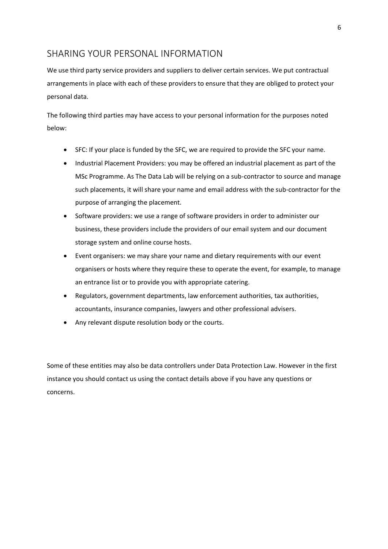### SHARING YOUR PERSONAL INFORMATION

We use third party service providers and suppliers to deliver certain services. We put contractual arrangements in place with each of these providers to ensure that they are obliged to protect your personal data.

The following third parties may have access to your personal information for the purposes noted below:

- SFC: If your place is funded by the SFC, we are required to provide the SFC your name.
- Industrial Placement Providers: you may be offered an industrial placement as part of the MSc Programme. As The Data Lab will be relying on a sub-contractor to source and manage such placements, it will share your name and email address with the sub-contractor for the purpose of arranging the placement.
- Software providers: we use a range of software providers in order to administer our business, these providers include the providers of our email system and our document storage system and online course hosts.
- Event organisers: we may share your name and dietary requirements with our event organisers or hosts where they require these to operate the event, for example, to manage an entrance list or to provide you with appropriate catering.
- Regulators, government departments, law enforcement authorities, tax authorities, accountants, insurance companies, lawyers and other professional advisers.
- Any relevant dispute resolution body or the courts.

Some of these entities may also be data controllers under Data Protection Law. However in the first instance you should contact us using the contact details above if you have any questions or concerns.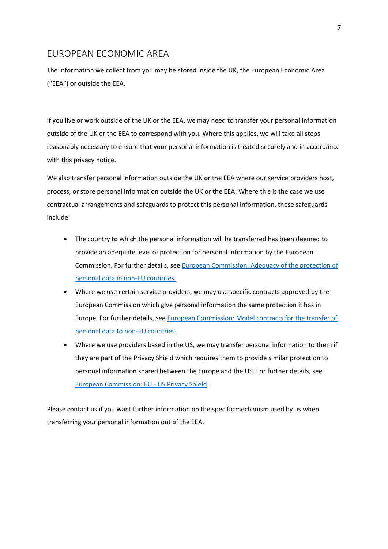### EUROPEAN ECONOMIC AREA

The information we collect from you may be stored inside the UK, the European Economic Area ("EEA") or outside the EEA.

If you live or work outside of the UK or the EEA, we may need to transfer your personal information outside of the UK or the EEA to correspond with you. Where this applies, we will take all steps reasonably necessary to ensure that your personal information is treated securely and in accordance with this privacy notice.

We also transfer personal information outside the UK or the EEA where our service providers host, process, or store personal information outside the UK or the EEA. Where this is the case we use contractual arrangements and safeguards to protect this personal information, these safeguards include:

- The country to which the personal information will be transferred has been deemed to provide an adequate level of protection for personal information by the European Commission. For further details, see [European Commission: Adequacy of](https://ec.europa.eu/info/law/law-topic/data-protection/data-transfers-outside-eu/adequacy-protection-personal-data-non-eu-countries_en) the protection of [personal data in non-EU countries.](https://ec.europa.eu/info/law/law-topic/data-protection/data-transfers-outside-eu/adequacy-protection-personal-data-non-eu-countries_en)
- Where we use certain service providers, we may use specific contracts approved by the European Commission which give personal information the same protection it has in Europe. For further details, se[e European Commission: Model contracts for](https://ec.europa.eu/info/law/law-topic/data-protection/data-transfers-outside-eu/model-contracts-transfer-personal-data-third-countries_en) the transfer of [personal data to non-EU countries.](https://ec.europa.eu/info/law/law-topic/data-protection/data-transfers-outside-eu/model-contracts-transfer-personal-data-third-countries_en)
- Where we use providers based in the US, we may transfer personal information to them if they are part of the Privacy Shield which requires them to provide similar protection to personal information shared between the Europe and the US. For further details, see [European Commission: EU -](https://ec.europa.eu/info/law/law-topic/data-protection/data-transfers-outside-eu/eu-us-privacy-shield_en) US Privacy Shield.

Please contact us if you want further information on the specific mechanism used by us when transferring your personal information out of the EEA.